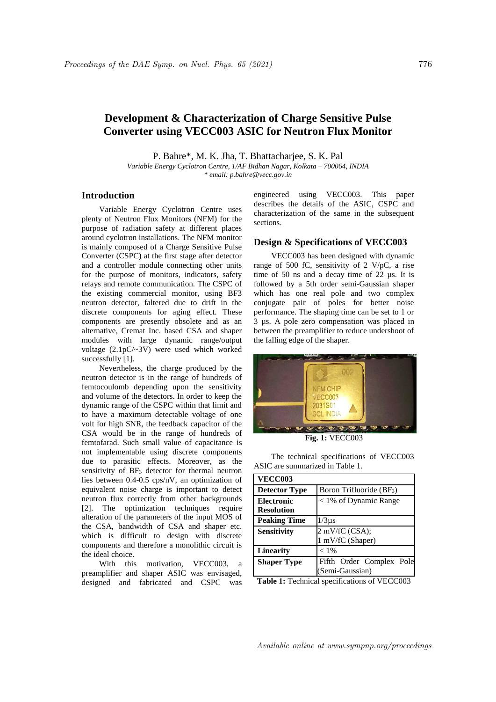# **Development & Characterization of Charge Sensitive Pulse Converter using VECC003 ASIC for Neutron Flux Monitor**

P. Bahre\*, M. K. Jha, T. Bhattacharjee, S. K. Pal

*Variable Energy Cyclotron Centre, 1/AF Bidhan Nagar, Kolkata – 700064, INDIA \* email: p.bahre@vecc.gov.in*

## **Introduction**

Variable Energy Cyclotron Centre uses plenty of Neutron Flux Monitors (NFM) for the purpose of radiation safety at different places around cyclotron installations. The NFM monitor is mainly composed of a Charge Sensitive Pulse Converter (CSPC) at the first stage after detector and a controller module connecting other units for the purpose of monitors, indicators, safety relays and remote communication. The CSPC of the existing commercial monitor, using BF3 neutron detector, faltered due to drift in the discrete components for aging effect. These components are presently obsolete and as an alternative, Cremat Inc. based CSA and shaper modules with large dynamic range/output voltage (2.1pC/~3V) were used which worked successfully [1].

Nevertheless, the charge produced by the neutron detector is in the range of hundreds of femtocoulomb depending upon the sensitivity and volume of the detectors. In order to keep the dynamic range of the CSPC within that limit and to have a maximum detectable voltage of one volt for high SNR, the feedback capacitor of the CSA would be in the range of hundreds of femtofarad. Such small value of capacitance is not implementable using discrete components due to parasitic effects. Moreover, as the sensitivity of  $BF_3$  detector for thermal neutron lies between 0.4-0.5 cps/nV, an optimization of equivalent noise charge is important to detect neutron flux correctly from other backgrounds [2]. The optimization techniques require alteration of the parameters of the input MOS of the CSA, bandwidth of CSA and shaper etc. which is difficult to design with discrete components and therefore a monolithic circuit is the ideal choice.

With this motivation, VECC003, a preamplifier and shaper ASIC was envisaged, designed and fabricated and CSPC was engineered using VECC003. This paper describes the details of the ASIC, CSPC and characterization of the same in the subsequent sections.

### **Design & Specifications of VECC003**

VECC003 has been designed with dynamic range of 500 fC, sensitivity of 2 V/pC, a rise time of 50 ns and a decay time of 22 µs. It is followed by a 5th order semi-Gaussian shaper which has one real pole and two complex conjugate pair of poles for better noise performance. The shaping time can be set to 1 or 3 µs. A pole zero compensation was placed in between the preamplifier to reduce undershoot of the falling edge of the shaper.



**Fig. 1:** VECC003

The technical specifications of VECC003 ASIC are summarized in Table 1.

| <b>VECC003</b>       |                            |
|----------------------|----------------------------|
| <b>Detector Type</b> | Boron Trifluoride $(BF_3)$ |
| <b>Electronic</b>    | $<$ 1% of Dynamic Range    |
| <b>Resolution</b>    |                            |
| <b>Peaking Time</b>  | $1/3\mu s$                 |
| <b>Sensitivity</b>   | $2$ mV/fC (CSA);           |
|                      | 1 mV/fC (Shaper)           |
| <b>Linearity</b>     | $< 1\%$                    |
| <b>Shaper Type</b>   | Fifth Order Complex Pole   |
|                      | (Semi-Gaussian)            |

**Table 1:** Technical specifications of VECC003